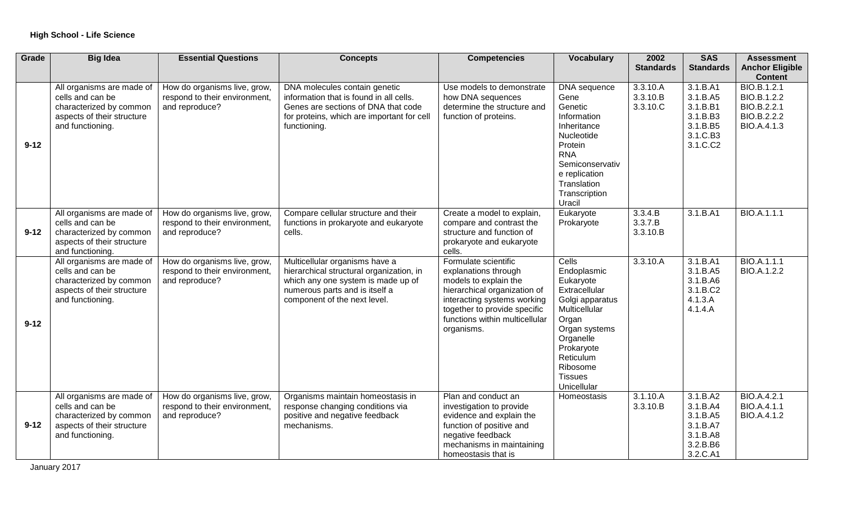| Grade    | <b>Big Idea</b>                                                                                                            | <b>Essential Questions</b>                                                      | <b>Concepts</b>                                                                                                                                                                    | <b>Competencies</b>                                                                                                                                                                                                  | <b>Vocabulary</b>                                                                                                                                                                                     | 2002                             | <b>SAS</b>                                                                       | <b>Assessment</b>                                                       |
|----------|----------------------------------------------------------------------------------------------------------------------------|---------------------------------------------------------------------------------|------------------------------------------------------------------------------------------------------------------------------------------------------------------------------------|----------------------------------------------------------------------------------------------------------------------------------------------------------------------------------------------------------------------|-------------------------------------------------------------------------------------------------------------------------------------------------------------------------------------------------------|----------------------------------|----------------------------------------------------------------------------------|-------------------------------------------------------------------------|
|          |                                                                                                                            |                                                                                 |                                                                                                                                                                                    |                                                                                                                                                                                                                      |                                                                                                                                                                                                       | <b>Standards</b>                 | <b>Standards</b>                                                                 | <b>Anchor Eligible</b><br><b>Content</b>                                |
| $9 - 12$ | All organisms are made of<br>cells and can be<br>characterized by common<br>aspects of their structure<br>and functioning. | How do organisms live, grow,<br>respond to their environment,<br>and reproduce? | DNA molecules contain genetic<br>information that is found in all cells.<br>Genes are sections of DNA that code<br>for proteins, which are important for cell<br>functioning.      | Use models to demonstrate<br>how DNA sequences<br>determine the structure and<br>function of proteins.                                                                                                               | DNA sequence<br>Gene<br>Genetic<br>Information<br>Inheritance<br>Nucleotide<br>Protein<br><b>RNA</b><br>Semiconservativ<br>e replication<br>Translation<br>Transcription<br>Uracil                    | 3.3.10.A<br>3.3.10.B<br>3.3.10.C | 3.1.B.A1<br>3.1.B.A5<br>3.1.B.B1<br>3.1.B.B3<br>3.1.B.B5<br>3.1.C.B3<br>3.1.C.C2 | BIO.B.1.2.1<br>BIO.B.1.2.2<br>BIO.B.2.2.1<br>BIO.B.2.2.2<br>BIO.A.4.1.3 |
| $9 - 12$ | All organisms are made of<br>cells and can be<br>characterized by common<br>aspects of their structure<br>and functioning. | How do organisms live, grow,<br>respond to their environment,<br>and reproduce? | Compare cellular structure and their<br>functions in prokaryote and eukaryote<br>cells.                                                                                            | Create a model to explain,<br>compare and contrast the<br>structure and function of<br>prokaryote and eukaryote<br>cells.                                                                                            | Eukaryote<br>Prokaryote                                                                                                                                                                               | 3.3.4.B<br>3.3.7.B<br>3.3.10.B   | 3.1.B.A1                                                                         | <b>BIO.A.1.1.1</b>                                                      |
| $9 - 12$ | All organisms are made of<br>cells and can be<br>characterized by common<br>aspects of their structure<br>and functioning. | How do organisms live, grow,<br>respond to their environment,<br>and reproduce? | Multicellular organisms have a<br>hierarchical structural organization, in<br>which any one system is made up of<br>numerous parts and is itself a<br>component of the next level. | Formulate scientific<br>explanations through<br>models to explain the<br>hierarchical organization of<br>interacting systems working<br>together to provide specific<br>functions within multicellular<br>organisms. | Cells<br>Endoplasmic<br>Eukaryote<br>Extracellular<br>Golgi apparatus<br>Multicellular<br>Organ<br>Organ systems<br>Organelle<br>Prokaryote<br>Reticulum<br>Ribosome<br><b>Tissues</b><br>Unicellular | 3.3.10.A                         | 3.1.B.A1<br>3.1.B.A5<br>3.1.B.A6<br>3.1.B.C2<br>4.1.3.A<br>4.1.4.A               | BIO.A.1.1.1<br>BIO.A.1.2.2                                              |
| $9 - 12$ | All organisms are made of<br>cells and can be<br>characterized by common<br>aspects of their structure<br>and functioning. | How do organisms live, grow,<br>respond to their environment,<br>and reproduce? | Organisms maintain homeostasis in<br>response changing conditions via<br>positive and negative feedback<br>mechanisms.                                                             | Plan and conduct an<br>investigation to provide<br>evidence and explain the<br>function of positive and<br>negative feedback<br>mechanisms in maintaining<br>homeostasis that is                                     | Homeostasis                                                                                                                                                                                           | 3.1.10.A<br>3.3.10.B             | 3.1.B.A2<br>3.1.B.A4<br>3.1.B.A5<br>3.1.B.A7<br>3.1.B.A8<br>3.2.B.B6<br>3.2.C.A1 | <b>BIO.A.4.2.1</b><br><b>BIO.A.4.1.1</b><br>BIO.A.4.1.2                 |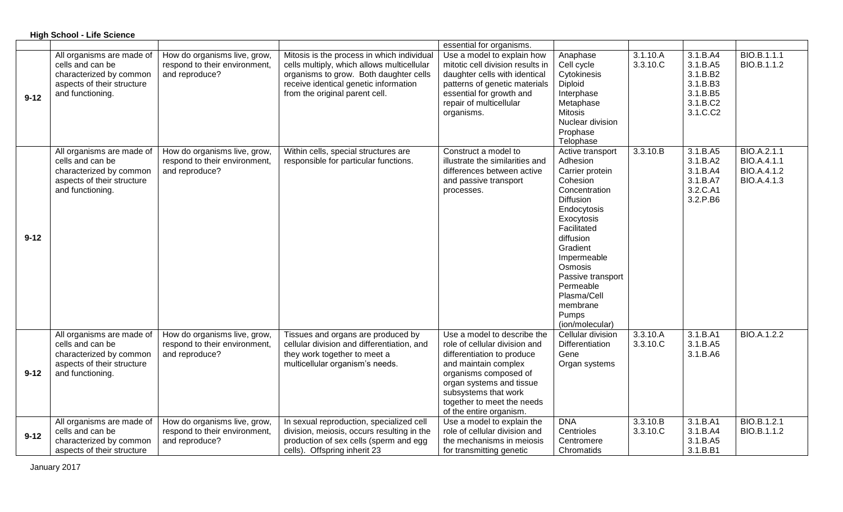|          | <b>High School - Life Science</b>                                                                                          |                                                                                 |                                                                                                                                                                                                               |                                                                                                                                                                                                                                                          |                                                                                                                                                                                                                                                                                   |                      |                                                                                  |                                                          |  |  |
|----------|----------------------------------------------------------------------------------------------------------------------------|---------------------------------------------------------------------------------|---------------------------------------------------------------------------------------------------------------------------------------------------------------------------------------------------------------|----------------------------------------------------------------------------------------------------------------------------------------------------------------------------------------------------------------------------------------------------------|-----------------------------------------------------------------------------------------------------------------------------------------------------------------------------------------------------------------------------------------------------------------------------------|----------------------|----------------------------------------------------------------------------------|----------------------------------------------------------|--|--|
|          |                                                                                                                            |                                                                                 |                                                                                                                                                                                                               | essential for organisms.                                                                                                                                                                                                                                 |                                                                                                                                                                                                                                                                                   |                      |                                                                                  |                                                          |  |  |
| $9 - 12$ | All organisms are made of<br>cells and can be<br>characterized by common<br>aspects of their structure<br>and functioning. | How do organisms live, grow,<br>respond to their environment,<br>and reproduce? | Mitosis is the process in which individual<br>cells multiply, which allows multicellular<br>organisms to grow. Both daughter cells<br>receive identical genetic information<br>from the original parent cell. | Use a model to explain how<br>mitotic cell division results in<br>daughter cells with identical<br>patterns of genetic materials<br>essential for growth and<br>repair of multicellular<br>organisms.                                                    | Anaphase<br>Cell cycle<br>Cytokinesis<br>Diploid<br>Interphase<br>Metaphase<br><b>Mitosis</b><br>Nuclear division<br>Prophase<br>Telophase                                                                                                                                        | 3.1.10.A<br>3.3.10.C | 3.1.B.A4<br>3.1.B.A5<br>3.1.B.B2<br>3.1.B.B3<br>3.1.B.B5<br>3.1.B.C2<br>3.1.C.C2 | BIO.B.1.1.1<br>BIO.B.1.1.2                               |  |  |
| $9 - 12$ | All organisms are made of<br>cells and can be<br>characterized by common<br>aspects of their structure<br>and functioning. | How do organisms live, grow,<br>respond to their environment,<br>and reproduce? | Within cells, special structures are<br>responsible for particular functions.                                                                                                                                 | Construct a model to<br>illustrate the similarities and<br>differences between active<br>and passive transport<br>processes.                                                                                                                             | Active transport<br>Adhesion<br>Carrier protein<br>Cohesion<br>Concentration<br>Diffusion<br>Endocytosis<br>Exocytosis<br>Facilitated<br>diffusion<br>Gradient<br>Impermeable<br>Osmosis<br>Passive transport<br>Permeable<br>Plasma/Cell<br>membrane<br>Pumps<br>(ion/molecular) | 3.3.10.B             | 3.1.B.A5<br>3.1.B.A2<br>3.1.B.A4<br>3.1.B.A7<br>3.2.C.A1<br>3.2.P.B6             | BIO.A.2.1.1<br>BIO.A.4.1.1<br>BIO.A.4.1.2<br>BIO.A.4.1.3 |  |  |
| $9 - 12$ | All organisms are made of<br>cells and can be<br>characterized by common<br>aspects of their structure<br>and functioning. | How do organisms live, grow,<br>respond to their environment,<br>and reproduce? | Tissues and organs are produced by<br>cellular division and differentiation, and<br>they work together to meet a<br>multicellular organism's needs.                                                           | Use a model to describe the<br>role of cellular division and<br>differentiation to produce<br>and maintain complex<br>organisms composed of<br>organ systems and tissue<br>subsystems that work<br>together to meet the needs<br>of the entire organism. | Cellular division<br>Differentiation<br>Gene<br>Organ systems                                                                                                                                                                                                                     | 3.3.10.A<br>3.3.10.C | 3.1.B.A1<br>3.1.B.A5<br>3.1.B.A6                                                 | <b>BIO.A.1.2.2</b>                                       |  |  |
| $9 - 12$ | All organisms are made of<br>cells and can be<br>characterized by common<br>aspects of their structure                     | How do organisms live, grow,<br>respond to their environment,<br>and reproduce? | In sexual reproduction, specialized cell<br>division, meiosis, occurs resulting in the<br>production of sex cells (sperm and egg<br>cells). Offspring inherit 23                                              | Use a model to explain the<br>role of cellular division and<br>the mechanisms in meiosis<br>for transmitting genetic                                                                                                                                     | <b>DNA</b><br>Centrioles<br>Centromere<br>Chromatids                                                                                                                                                                                                                              | 3.3.10.B<br>3.3.10.C | 3.1.B.A1<br>3.1.B.A4<br>3.1.B.A5<br>3.1.B.B1                                     | BIO.B.1.2.1<br>BIO.B.1.1.2                               |  |  |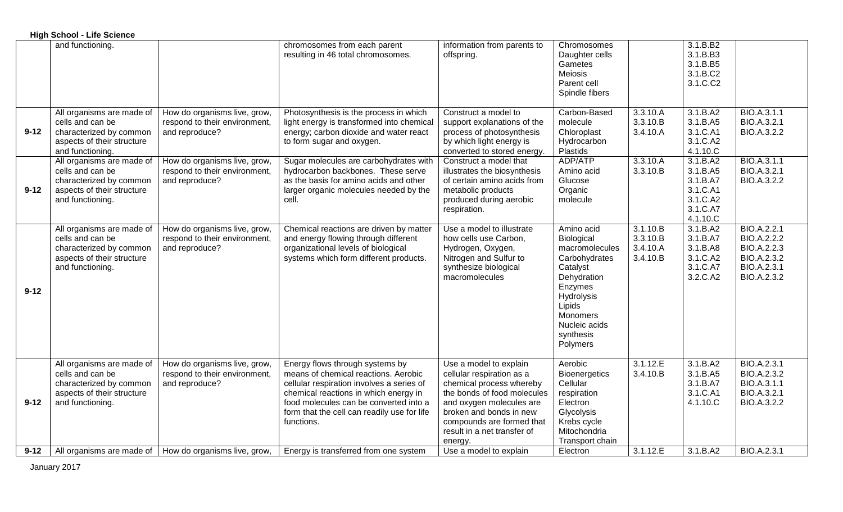|          | <b>High School - Life Science</b>                                                                                          |                                                                                 |                                                                                                                                                                                                                                                                      |                                                                                                                                                                                                                                              |                                                                                                                                                                                 |                                              |                                                                                  |                                                                                                      |
|----------|----------------------------------------------------------------------------------------------------------------------------|---------------------------------------------------------------------------------|----------------------------------------------------------------------------------------------------------------------------------------------------------------------------------------------------------------------------------------------------------------------|----------------------------------------------------------------------------------------------------------------------------------------------------------------------------------------------------------------------------------------------|---------------------------------------------------------------------------------------------------------------------------------------------------------------------------------|----------------------------------------------|----------------------------------------------------------------------------------|------------------------------------------------------------------------------------------------------|
|          | and functioning.                                                                                                           |                                                                                 | chromosomes from each parent<br>resulting in 46 total chromosomes.                                                                                                                                                                                                   | information from parents to<br>offspring.                                                                                                                                                                                                    | Chromosomes<br>Daughter cells<br>Gametes<br>Meiosis<br>Parent cell<br>Spindle fibers                                                                                            |                                              | 3.1.B.B2<br>3.1.B.B3<br>3.1.B.B5<br>3.1.B.C2<br>3.1.C.C2                         |                                                                                                      |
| $9 - 12$ | All organisms are made of<br>cells and can be<br>characterized by common<br>aspects of their structure<br>and functioning. | How do organisms live, grow,<br>respond to their environment,<br>and reproduce? | Photosynthesis is the process in which<br>light energy is transformed into chemical<br>energy; carbon dioxide and water react<br>to form sugar and oxygen.                                                                                                           | Construct a model to<br>support explanations of the<br>process of photosynthesis<br>by which light energy is<br>converted to stored energy.                                                                                                  | Carbon-Based<br>molecule<br>Chloroplast<br>Hydrocarbon<br>Plastids                                                                                                              | 3.3.10.A<br>3.3.10.B<br>3.4.10.A             | 3.1.B.A2<br>3.1.B.A5<br>3.1.C.A1<br>3.1.C.A2<br>4.1.10.C                         | BIO.A.3.1.1<br>BIO.A.3.2.1<br><b>BIO.A.3.2.2</b>                                                     |
| $9 - 12$ | All organisms are made of<br>cells and can be<br>characterized by common<br>aspects of their structure<br>and functioning. | How do organisms live, grow,<br>respond to their environment,<br>and reproduce? | Sugar molecules are carbohydrates with<br>hydrocarbon backbones. These serve<br>as the basis for amino acids and other<br>larger organic molecules needed by the<br>cell.                                                                                            | Construct a model that<br>illustrates the biosynthesis<br>of certain amino acids from<br>metabolic products<br>produced during aerobic<br>respiration.                                                                                       | ADP/ATP<br>Amino acid<br>Glucose<br>Organic<br>molecule                                                                                                                         | 3.3.10.A<br>3.3.10.B                         | 3.1.B.A2<br>3.1.B.A5<br>3.1.B.A7<br>3.1.C.A1<br>3.1.C.A2<br>3.1.C.A7<br>4.1.10.C | BIO.A.3.1.1<br>BIO.A.3.2.1<br>BIO.A.3.2.2                                                            |
| $9 - 12$ | All organisms are made of<br>cells and can be<br>characterized by common<br>aspects of their structure<br>and functioning. | How do organisms live, grow,<br>respond to their environment,<br>and reproduce? | Chemical reactions are driven by matter<br>and energy flowing through different<br>organizational levels of biological<br>systems which form different products.                                                                                                     | Use a model to illustrate<br>how cells use Carbon,<br>Hydrogen, Oxygen,<br>Nitrogen and Sulfur to<br>synthesize biological<br>macromolecules                                                                                                 | Amino acid<br>Biological<br>macromolecules<br>Carbohydrates<br>Catalyst<br>Dehydration<br>Enzymes<br>Hydrolysis<br>Lipids<br>Monomers<br>Nucleic acids<br>synthesis<br>Polymers | 3.1.10.B<br>3.3.10.B<br>3.4.10.A<br>3.4.10.B | 3.1.B.A2<br>3.1.B.A7<br>3.1.B.A8<br>3.1.C.A2<br>3.1.C.A7<br>3.2.C.A2             | BIO.A.2.2.1<br><b>BIO.A.2.2.2</b><br><b>BIO.A.2.2.3</b><br>BIO.A.2.3.2<br>BIO.A.2.3.1<br>BIO.A.2.3.2 |
| $9 - 12$ | All organisms are made of<br>cells and can be<br>characterized by common<br>aspects of their structure<br>and functioning. | How do organisms live, grow,<br>respond to their environment,<br>and reproduce? | Energy flows through systems by<br>means of chemical reactions. Aerobic<br>cellular respiration involves a series of<br>chemical reactions in which energy in<br>food molecules can be converted into a<br>form that the cell can readily use for life<br>functions. | Use a model to explain<br>cellular respiration as a<br>chemical process whereby<br>the bonds of food molecules<br>and oxygen molecules are<br>broken and bonds in new<br>compounds are formed that<br>result in a net transfer of<br>energy. | Aerobic<br><b>Bioenergetics</b><br>Cellular<br>respiration<br>Electron<br>Glycolysis<br>Krebs cycle<br>Mitochondria<br>Transport chain                                          | 3.1.12.E<br>3.4.10.B                         | 3.1.B.A2<br>3.1.B.A5<br>3.1.B.A7<br>3.1.C.A1<br>4.1.10.C                         | BIO.A.2.3.1<br><b>BIO.A.2.3.2</b><br>BIO.A.3.1.1<br>BIO.A.3.2.1<br>BIO.A.3.2.2                       |
| $9 - 12$ |                                                                                                                            | All organisms are made of   How do organisms live, grow,                        | Energy is transferred from one system                                                                                                                                                                                                                                | Use a model to explain                                                                                                                                                                                                                       | Electron                                                                                                                                                                        | 3.1.12.E                                     | 3.1.B.A2                                                                         | BIO.A.2.3.1                                                                                          |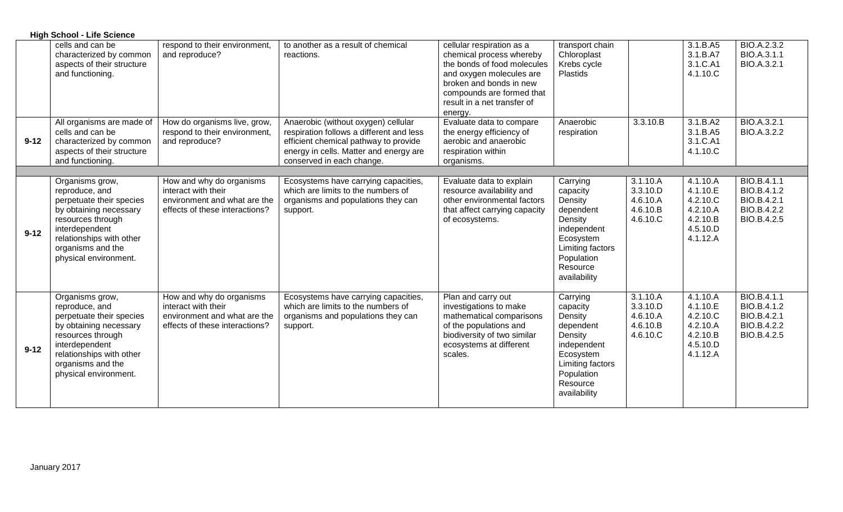|          | <b>High School - Life Science</b>                                                                                                                                                                        |                                                                                                                   |                                                                                                                                                                                                 |                                                                                                                                                                                                                    |                                                                                                                                                   |                                                          |                                                                                  |                                                                                |
|----------|----------------------------------------------------------------------------------------------------------------------------------------------------------------------------------------------------------|-------------------------------------------------------------------------------------------------------------------|-------------------------------------------------------------------------------------------------------------------------------------------------------------------------------------------------|--------------------------------------------------------------------------------------------------------------------------------------------------------------------------------------------------------------------|---------------------------------------------------------------------------------------------------------------------------------------------------|----------------------------------------------------------|----------------------------------------------------------------------------------|--------------------------------------------------------------------------------|
|          | cells and can be<br>characterized by common<br>aspects of their structure<br>and functioning.                                                                                                            | respond to their environment,<br>and reproduce?                                                                   | to another as a result of chemical<br>reactions.                                                                                                                                                | cellular respiration as a<br>chemical process whereby<br>the bonds of food molecules<br>and oxygen molecules are<br>broken and bonds in new<br>compounds are formed that<br>result in a net transfer of<br>energy. | transport chain<br>Chloroplast<br>Krebs cycle<br>Plastids                                                                                         |                                                          | 3.1.B.A5<br>3.1.B.A7<br>3.1.C.A1<br>4.1.10.C                                     | BIO.A.2.3.2<br>BIO.A.3.1.1<br>BIO.A.3.2.1                                      |
| $9 - 12$ | All organisms are made of<br>cells and can be<br>characterized by common<br>aspects of their structure<br>and functioning.                                                                               | How do organisms live, grow,<br>respond to their environment,<br>and reproduce?                                   | Anaerobic (without oxygen) cellular<br>respiration follows a different and less<br>efficient chemical pathway to provide<br>energy in cells. Matter and energy are<br>conserved in each change. | Evaluate data to compare<br>the energy efficiency of<br>aerobic and anaerobic<br>respiration within<br>organisms.                                                                                                  | Anaerobic<br>respiration                                                                                                                          | 3.3.10.B                                                 | 3.1.B.A2<br>3.1.B.A5<br>3.1.C.A1<br>4.1.10.C                                     | BIO.A.3.2.1<br>BIO.A.3.2.2                                                     |
|          |                                                                                                                                                                                                          |                                                                                                                   |                                                                                                                                                                                                 |                                                                                                                                                                                                                    |                                                                                                                                                   |                                                          |                                                                                  |                                                                                |
| $9 - 12$ | Organisms grow,<br>reproduce, and<br>perpetuate their species<br>by obtaining necessary<br>resources through<br>interdependent<br>relationships with other<br>organisms and the<br>physical environment. | How and why do organisms<br>interact with their<br>environment and what are the<br>effects of these interactions? | Ecosystems have carrying capacities,<br>which are limits to the numbers of<br>organisms and populations they can<br>support.                                                                    | Evaluate data to explain<br>resource availability and<br>other environmental factors<br>that affect carrying capacity<br>of ecosystems.                                                                            | Carrying<br>capacity<br>Density<br>dependent<br>Density<br>independent<br>Ecosystem<br>Limiting factors<br>Population<br>Resource<br>availability | 3.1.10.A<br>3.3.10.D<br>4.6.10.A<br>4.6.10.B<br>4.6.10.C | 4.1.10.A<br>4.1.10.E<br>4.2.10.C<br>4.2.10.A<br>4.2.10.B<br>4.5.10.D<br>4.1.12.A | <b>BIO.B.4.1.1</b><br>BIO.B.4.1.2<br>BIO.B.4.2.1<br>BIO.B.4.2.2<br>BIO.B.4.2.5 |
| $9 - 12$ | Organisms grow,<br>reproduce, and<br>perpetuate their species<br>by obtaining necessary<br>resources through<br>interdependent<br>relationships with other<br>organisms and the<br>physical environment. | How and why do organisms<br>interact with their<br>environment and what are the<br>effects of these interactions? | Ecosystems have carrying capacities,<br>which are limits to the numbers of<br>organisms and populations they can<br>support.                                                                    | Plan and carry out<br>investigations to make<br>mathematical comparisons<br>of the populations and<br>biodiversity of two similar<br>ecosystems at different<br>scales.                                            | Carrying<br>capacity<br>Density<br>dependent<br>Density<br>independent<br>Ecosystem<br>Limiting factors<br>Population<br>Resource<br>availability | 3.1.10.A<br>3.3.10.D<br>4.6.10.A<br>4.6.10.B<br>4.6.10.C | 4.1.10.A<br>4.1.10.E<br>4.2.10.C<br>4.2.10.A<br>4.2.10.B<br>4.5.10.D<br>4.1.12.A | <b>BIO.B.4.1.1</b><br>BIO.B.4.1.2<br>BIO.B.4.2.1<br>BIO.B.4.2.2<br>BIO.B.4.2.5 |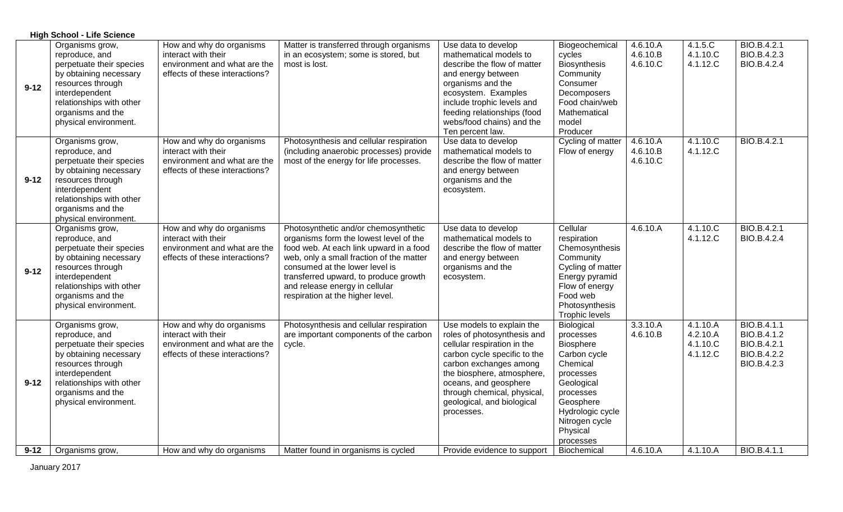|          | <b>High School - Life Science</b>                                                                                                                                                                        |                                                                                                                   |                                                                                                                                                                                                                                                                                                                        |                                                                                                                                                                                                                                                                                     |                                                                                                                                                                                      |                                  |                                              |                                                                         |  |
|----------|----------------------------------------------------------------------------------------------------------------------------------------------------------------------------------------------------------|-------------------------------------------------------------------------------------------------------------------|------------------------------------------------------------------------------------------------------------------------------------------------------------------------------------------------------------------------------------------------------------------------------------------------------------------------|-------------------------------------------------------------------------------------------------------------------------------------------------------------------------------------------------------------------------------------------------------------------------------------|--------------------------------------------------------------------------------------------------------------------------------------------------------------------------------------|----------------------------------|----------------------------------------------|-------------------------------------------------------------------------|--|
| $9 - 12$ | Organisms grow,<br>reproduce, and<br>perpetuate their species<br>by obtaining necessary<br>resources through<br>interdependent<br>relationships with other<br>organisms and the<br>physical environment. | How and why do organisms<br>interact with their<br>environment and what are the<br>effects of these interactions? | Matter is transferred through organisms<br>in an ecosystem; some is stored, but<br>most is lost.                                                                                                                                                                                                                       | Use data to develop<br>mathematical models to<br>describe the flow of matter<br>and energy between<br>organisms and the<br>ecosystem. Examples<br>include trophic levels and<br>feeding relationships (food<br>webs/food chains) and the<br>Ten percent law.                        | Biogeochemical<br>cycles<br><b>Biosynthesis</b><br>Community<br>Consumer<br>Decomposers<br>Food chain/web<br>Mathematical<br>model<br>Producer                                       | 4.6.10.A<br>4.6.10.B<br>4.6.10.C | 4.1.5.C<br>4.1.10.C<br>4.1.12.C              | BIO.B.4.2.1<br>BIO.B.4.2.3<br>BIO.B.4.2.4                               |  |
| $9 - 12$ | Organisms grow,<br>reproduce, and<br>perpetuate their species<br>by obtaining necessary<br>resources through<br>interdependent<br>relationships with other<br>organisms and the<br>physical environment. | How and why do organisms<br>interact with their<br>environment and what are the<br>effects of these interactions? | Photosynthesis and cellular respiration<br>(including anaerobic processes) provide<br>most of the energy for life processes.                                                                                                                                                                                           | Use data to develop<br>mathematical models to<br>describe the flow of matter<br>and energy between<br>organisms and the<br>ecosystem.                                                                                                                                               | Cycling of matter<br>Flow of energy                                                                                                                                                  | 4.6.10.A<br>4.6.10.B<br>4.6.10.C | 4.1.10.C<br>4.1.12.C                         | BIO.B.4.2.1                                                             |  |
| $9 - 12$ | Organisms grow,<br>reproduce, and<br>perpetuate their species<br>by obtaining necessary<br>resources through<br>interdependent<br>relationships with other<br>organisms and the<br>physical environment. | How and why do organisms<br>interact with their<br>environment and what are the<br>effects of these interactions? | Photosynthetic and/or chemosynthetic<br>organisms form the lowest level of the<br>food web. At each link upward in a food<br>web, only a small fraction of the matter<br>consumed at the lower level is<br>transferred upward, to produce growth<br>and release energy in cellular<br>respiration at the higher level. | Use data to develop<br>mathematical models to<br>describe the flow of matter<br>and energy between<br>organisms and the<br>ecosystem.                                                                                                                                               | Cellular<br>respiration<br>Chemosynthesis<br>Community<br>Cycling of matter<br>Energy pyramid<br>Flow of energy<br>Food web<br>Photosynthesis<br><b>Trophic levels</b>               | 4.6.10.A                         | 4.1.10 C<br>4.1.12.C                         | BIO.B.4.2.1<br>BIO.B.4.2.4                                              |  |
| $9 - 12$ | Organisms grow,<br>reproduce, and<br>perpetuate their species<br>by obtaining necessary<br>resources through<br>interdependent<br>relationships with other<br>organisms and the<br>physical environment. | How and why do organisms<br>interact with their<br>environment and what are the<br>effects of these interactions? | Photosynthesis and cellular respiration<br>are important components of the carbon<br>cycle.                                                                                                                                                                                                                            | Use models to explain the<br>roles of photosynthesis and<br>cellular respiration in the<br>carbon cycle specific to the<br>carbon exchanges among<br>the biosphere, atmosphere,<br>oceans, and geosphere<br>through chemical, physical,<br>geological, and biological<br>processes. | Biological<br>processes<br>Biosphere<br>Carbon cycle<br>Chemical<br>processes<br>Geological<br>processes<br>Geosphere<br>Hydrologic cycle<br>Nitrogen cycle<br>Physical<br>processes | 3.3.10.A<br>4.6.10.B             | 4.1.10.A<br>4.2.10.A<br>4.1.10.C<br>4.1.12.C | BIO.B.4.1.1<br>BIO.B.4.1.2<br>BIO.B.4.2.1<br>BIO.B.4.2.2<br>BIO.B.4.2.3 |  |
| $9 - 12$ | Organisms grow,                                                                                                                                                                                          | How and why do organisms                                                                                          | Matter found in organisms is cycled                                                                                                                                                                                                                                                                                    | Provide evidence to support                                                                                                                                                                                                                                                         | Biochemical                                                                                                                                                                          | 4.6.10.A                         | 4.1.10.A                                     | BIO.B.4.1.1                                                             |  |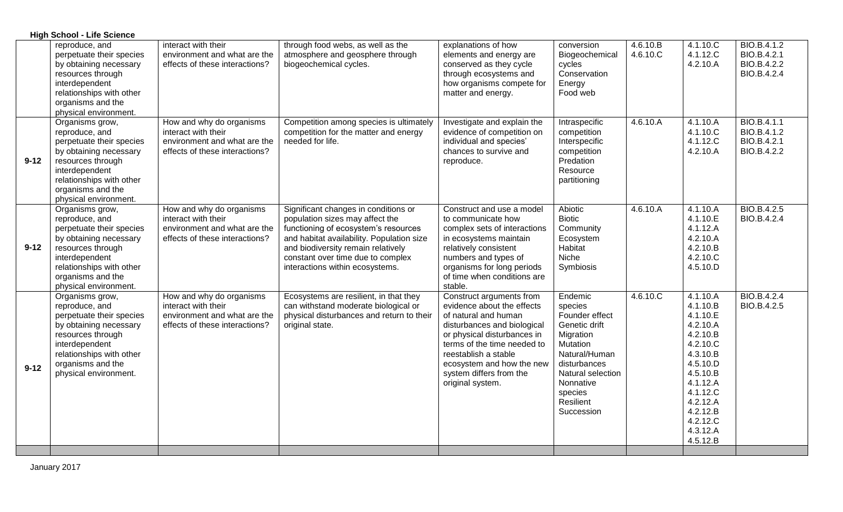|          | <b>High School - Life Science</b>                                                                                                                                                                        |                                                                                                                   |                                                                                                                                                                                                                                                                            |                                                                                                                                                                                                                                                                                 |                                                                                                                                                                                         |                      |                                                                                                                                                                                              |                                                                 |
|----------|----------------------------------------------------------------------------------------------------------------------------------------------------------------------------------------------------------|-------------------------------------------------------------------------------------------------------------------|----------------------------------------------------------------------------------------------------------------------------------------------------------------------------------------------------------------------------------------------------------------------------|---------------------------------------------------------------------------------------------------------------------------------------------------------------------------------------------------------------------------------------------------------------------------------|-----------------------------------------------------------------------------------------------------------------------------------------------------------------------------------------|----------------------|----------------------------------------------------------------------------------------------------------------------------------------------------------------------------------------------|-----------------------------------------------------------------|
|          | reproduce, and<br>perpetuate their species<br>by obtaining necessary<br>resources through<br>interdependent<br>relationships with other<br>organisms and the<br>physical environment.                    | interact with their<br>environment and what are the<br>effects of these interactions?                             | through food webs, as well as the<br>atmosphere and geosphere through<br>biogeochemical cycles.                                                                                                                                                                            | explanations of how<br>elements and energy are<br>conserved as they cycle<br>through ecosystems and<br>how organisms compete for<br>matter and energy.                                                                                                                          | conversion<br>Biogeochemical<br>cycles<br>Conservation<br>Energy<br>Food web                                                                                                            | 4.6.10.B<br>4.6.10.C | 4.1.10.C<br>4.1.12.C<br>4.2.10.A                                                                                                                                                             | BIO.B.4.1.2<br>BIO.B.4.2.1<br>BIO.B.4.2.2<br>BIO.B.4.2.4        |
| $9 - 12$ | Organisms grow,<br>reproduce, and<br>perpetuate their species<br>by obtaining necessary<br>resources through<br>interdependent<br>relationships with other<br>organisms and the<br>physical environment. | How and why do organisms<br>interact with their<br>environment and what are the<br>effects of these interactions? | Competition among species is ultimately<br>competition for the matter and energy<br>needed for life.                                                                                                                                                                       | Investigate and explain the<br>evidence of competition on<br>individual and species'<br>chances to survive and<br>reproduce.                                                                                                                                                    | Intraspecific<br>competition<br>Interspecific<br>competition<br>Predation<br>Resource<br>partitioning                                                                                   | 4.6.10.A             | 4.1.10.A<br>4.1.10.C<br>4.1.12.C<br>4.2.10.A                                                                                                                                                 | <b>BIO.B.4.1.1</b><br>BIO.B.4.1.2<br>BIO.B.4.2.1<br>BIO.B.4.2.2 |
| $9 - 12$ | Organisms grow,<br>reproduce, and<br>perpetuate their species<br>by obtaining necessary<br>resources through<br>interdependent<br>relationships with other<br>organisms and the<br>physical environment. | How and why do organisms<br>interact with their<br>environment and what are the<br>effects of these interactions? | Significant changes in conditions or<br>population sizes may affect the<br>functioning of ecosystem's resources<br>and habitat availability. Population size<br>and biodiversity remain relatively<br>constant over time due to complex<br>interactions within ecosystems. | Construct and use a model<br>to communicate how<br>complex sets of interactions<br>in ecosystems maintain<br>relatively consistent<br>numbers and types of<br>organisms for long periods<br>of time when conditions are<br>stable.                                              | Abiotic<br><b>Biotic</b><br>Community<br>Ecosystem<br>Habitat<br>Niche<br>Symbiosis                                                                                                     | 4.6.10.A             | 4.1.10.A<br>4.1.10.E<br>4.1.12.A<br>4.2.10.A<br>4.2.10.B<br>4.2.10.C<br>4.5.10.D                                                                                                             | <b>BIO.B.4.2.5</b><br>BIO.B.4.2.4                               |
| $9 - 12$ | Organisms grow,<br>reproduce, and<br>perpetuate their species<br>by obtaining necessary<br>resources through<br>interdependent<br>relationships with other<br>organisms and the<br>physical environment. | How and why do organisms<br>interact with their<br>environment and what are the<br>effects of these interactions? | Ecosystems are resilient, in that they<br>can withstand moderate biological or<br>physical disturbances and return to their<br>original state.                                                                                                                             | Construct arguments from<br>evidence about the effects<br>of natural and human<br>disturbances and biological<br>or physical disturbances in<br>terms of the time needed to<br>reestablish a stable<br>ecosystem and how the new<br>system differs from the<br>original system. | Endemic<br>species<br>Founder effect<br>Genetic drift<br>Migration<br>Mutation<br>Natural/Human<br>disturbances<br>Natural selection<br>Nonnative<br>species<br>Resilient<br>Succession | 4.6.10.C             | 4.1.10.A<br>4.1.10.B<br>4.1.10.E<br>4.2.10.A<br>4.2.10.B<br>4.2.10.C<br>4.3.10.B<br>4.5.10.D<br>4.5.10.B<br>4.1.12.A<br>4.1.12.C<br>4.2.12.A<br>4.2.12.B<br>4.2.12.C<br>4.3.12.A<br>4.5.12.B | BIO.B.4.2.4<br>BIO.B.4.2.5                                      |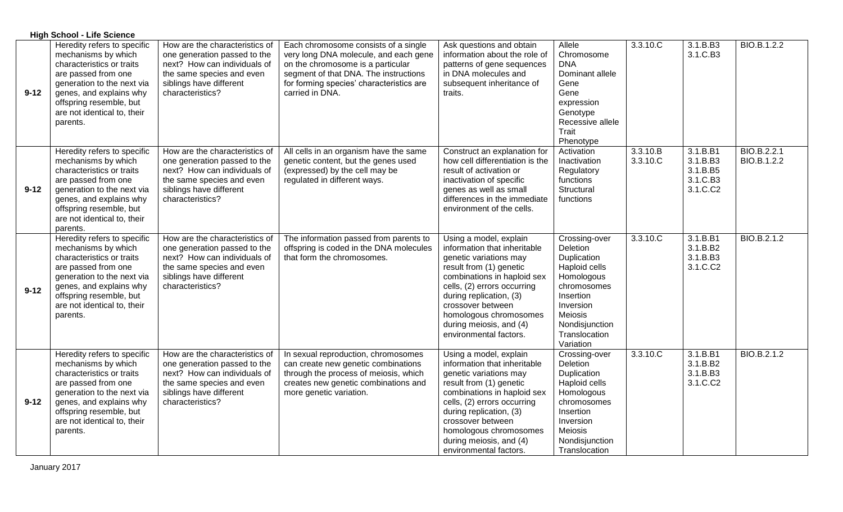|          | <b>High School - Life Science</b>                                                                                                                                                                                                     |                                                                                                                                                                            |                                                                                                                                                                                                                            |                                                                                                                                                                                                                                                                                                          |                                                                                                                                                                                    |                      |                                                          |                            |
|----------|---------------------------------------------------------------------------------------------------------------------------------------------------------------------------------------------------------------------------------------|----------------------------------------------------------------------------------------------------------------------------------------------------------------------------|----------------------------------------------------------------------------------------------------------------------------------------------------------------------------------------------------------------------------|----------------------------------------------------------------------------------------------------------------------------------------------------------------------------------------------------------------------------------------------------------------------------------------------------------|------------------------------------------------------------------------------------------------------------------------------------------------------------------------------------|----------------------|----------------------------------------------------------|----------------------------|
| $9 - 12$ | Heredity refers to specific<br>mechanisms by which<br>characteristics or traits<br>are passed from one<br>generation to the next via<br>genes, and explains why<br>offspring resemble, but<br>are not identical to, their<br>parents. | How are the characteristics of<br>one generation passed to the<br>next? How can individuals of<br>the same species and even<br>siblings have different<br>characteristics? | Each chromosome consists of a single<br>very long DNA molecule, and each gene<br>on the chromosome is a particular<br>segment of that DNA. The instructions<br>for forming species' characteristics are<br>carried in DNA. | Ask questions and obtain<br>information about the role of<br>patterns of gene sequences<br>in DNA molecules and<br>subsequent inheritance of<br>traits.                                                                                                                                                  | Allele<br>Chromosome<br><b>DNA</b><br>Dominant allele<br>Gene<br>Gene<br>expression<br>Genotype<br>Recessive allele<br>Trait<br>Phenotype                                          | 3.3.10.C             | 3.1.B.B3<br>3.1.C.B3                                     | BIO.B.1.2.2                |
| $9 - 12$ | Heredity refers to specific<br>mechanisms by which<br>characteristics or traits<br>are passed from one<br>generation to the next via<br>genes, and explains why<br>offspring resemble, but<br>are not identical to, their<br>parents. | How are the characteristics of<br>one generation passed to the<br>next? How can individuals of<br>the same species and even<br>siblings have different<br>characteristics? | All cells in an organism have the same<br>genetic content, but the genes used<br>(expressed) by the cell may be<br>regulated in different ways.                                                                            | Construct an explanation for<br>how cell differentiation is the<br>result of activation or<br>inactivation of specific<br>genes as well as small<br>differences in the immediate<br>environment of the cells.                                                                                            | Activation<br>Inactivation<br>Regulatory<br>functions<br>Structural<br>functions                                                                                                   | 3.3.10.B<br>3.3.10.C | 3.1.B.B1<br>3.1.B.B3<br>3.1.B.B5<br>3.1.C.B3<br>3.1.C.C2 | BIO.B.2.2.1<br>BIO.B.1.2.2 |
| $9 - 12$ | Heredity refers to specific<br>mechanisms by which<br>characteristics or traits<br>are passed from one<br>generation to the next via<br>genes, and explains why<br>offspring resemble, but<br>are not identical to, their<br>parents. | How are the characteristics of<br>one generation passed to the<br>next? How can individuals of<br>the same species and even<br>siblings have different<br>characteristics? | The information passed from parents to<br>offspring is coded in the DNA molecules<br>that form the chromosomes.                                                                                                            | Using a model, explain<br>information that inheritable<br>genetic variations may<br>result from (1) genetic<br>combinations in haploid sex<br>cells, (2) errors occurring<br>during replication, (3)<br>crossover between<br>homologous chromosomes<br>during meiosis, and (4)<br>environmental factors. | Crossing-over<br>Deletion<br>Duplication<br>Haploid cells<br>Homologous<br>chromosomes<br>Insertion<br>Inversion<br><b>Meiosis</b><br>Nondisjunction<br>Translocation<br>Variation | 3.3.10.C             | 3.1.B.B1<br>3.1.B.B2<br>3.1.B.B3<br>3.1.C.C2             | BIO.B.2.1.2                |
| $9 - 12$ | Heredity refers to specific<br>mechanisms by which<br>characteristics or traits<br>are passed from one<br>generation to the next via<br>genes, and explains why<br>offspring resemble, but<br>are not identical to, their<br>parents. | How are the characteristics of<br>one generation passed to the<br>next? How can individuals of<br>the same species and even<br>siblings have different<br>characteristics? | In sexual reproduction, chromosomes<br>can create new genetic combinations<br>through the process of meiosis, which<br>creates new genetic combinations and<br>more genetic variation.                                     | Using a model, explain<br>information that inheritable<br>genetic variations may<br>result from (1) genetic<br>combinations in haploid sex<br>cells, (2) errors occurring<br>during replication, (3)<br>crossover between<br>homologous chromosomes<br>during meiosis, and (4)<br>environmental factors. | Crossing-over<br>Deletion<br>Duplication<br>Haploid cells<br>Homologous<br>chromosomes<br>Insertion<br>Inversion<br>Meiosis<br>Nondisjunction<br>Translocation                     | 3.3.10.C             | 3.1.B.B1<br>3.1.B.B2<br>3.1.B.B3<br>3.1.C.C2             | BIO.B.2.1.2                |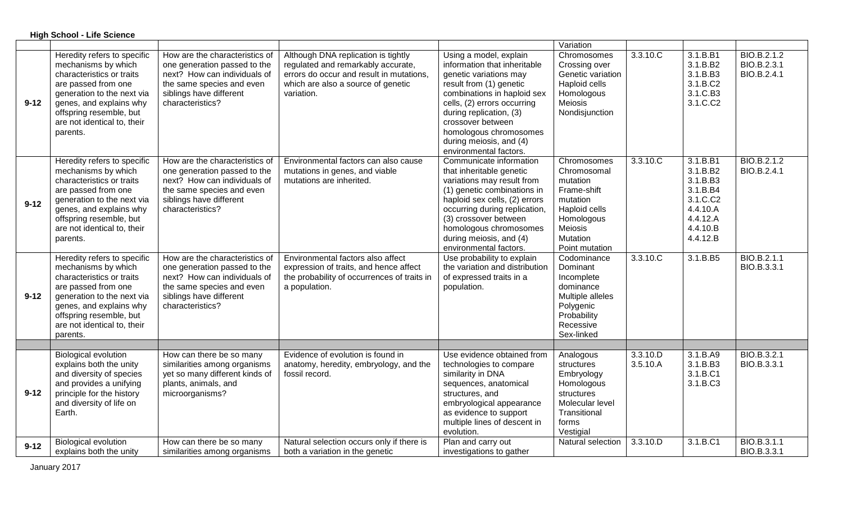|          | <b>High School - Life Science</b>                                                                                                                                                                                                     |                                                                                                                                                                            |                                                                                                                                                                           |                                                                                                                                                                                                                                                                                                          |                                                                                                                                           |                      |                                                                                                          |                                           |
|----------|---------------------------------------------------------------------------------------------------------------------------------------------------------------------------------------------------------------------------------------|----------------------------------------------------------------------------------------------------------------------------------------------------------------------------|---------------------------------------------------------------------------------------------------------------------------------------------------------------------------|----------------------------------------------------------------------------------------------------------------------------------------------------------------------------------------------------------------------------------------------------------------------------------------------------------|-------------------------------------------------------------------------------------------------------------------------------------------|----------------------|----------------------------------------------------------------------------------------------------------|-------------------------------------------|
|          |                                                                                                                                                                                                                                       |                                                                                                                                                                            |                                                                                                                                                                           |                                                                                                                                                                                                                                                                                                          | Variation                                                                                                                                 |                      |                                                                                                          |                                           |
| $9 - 12$ | Heredity refers to specific<br>mechanisms by which<br>characteristics or traits<br>are passed from one<br>generation to the next via<br>genes, and explains why<br>offspring resemble, but<br>are not identical to, their<br>parents. | How are the characteristics of<br>one generation passed to the<br>next? How can individuals of<br>the same species and even<br>siblings have different<br>characteristics? | Although DNA replication is tightly<br>regulated and remarkably accurate,<br>errors do occur and result in mutations.<br>which are also a source of genetic<br>variation. | Using a model, explain<br>information that inheritable<br>genetic variations may<br>result from (1) genetic<br>combinations in haploid sex<br>cells, (2) errors occurring<br>during replication, (3)<br>crossover between<br>homologous chromosomes<br>during meiosis, and (4)<br>environmental factors. | Chromosomes<br>Crossing over<br>Genetic variation<br>Haploid cells<br>Homologous<br>Meiosis<br>Nondisjunction                             | $3.3.10$ .C          | 3.1.B.B1<br>3.1.B.B2<br>3.1.B.B3<br>3.1.B.C2<br>3.1.C.B3<br>3.1.C.C2                                     | BIO.B.2.1.2<br>BIO.B.2.3.1<br>BIO.B.2.4.1 |
| $9 - 12$ | Heredity refers to specific<br>mechanisms by which<br>characteristics or traits<br>are passed from one<br>generation to the next via<br>genes, and explains why<br>offspring resemble, but<br>are not identical to, their<br>parents. | How are the characteristics of<br>one generation passed to the<br>next? How can individuals of<br>the same species and even<br>siblings have different<br>characteristics? | Environmental factors can also cause<br>mutations in genes, and viable<br>mutations are inherited.                                                                        | Communicate information<br>that inheritable genetic<br>variations may result from<br>(1) genetic combinations in<br>haploid sex cells, (2) errors<br>occurring during replication,<br>(3) crossover between<br>homologous chromosomes<br>during meiosis, and (4)<br>environmental factors.               | Chromosomes<br>Chromosomal<br>mutation<br>Frame-shift<br>mutation<br>Haploid cells<br>Homologous<br>Meiosis<br>Mutation<br>Point mutation | $3.3.10$ .C          | 3.1.B.B1<br>3.1.B.B2<br>3.1.B.B3<br>3.1.B.B4<br>3.1.C.C2<br>4.4.10.A<br>4.4.12.A<br>4.4.10.B<br>4.4.12.B | BIO.B.2.1.2<br>BIO.B.2.4.1                |
| $9 - 12$ | Heredity refers to specific<br>mechanisms by which<br>characteristics or traits<br>are passed from one<br>generation to the next via<br>genes, and explains why<br>offspring resemble, but<br>are not identical to, their<br>parents. | How are the characteristics of<br>one generation passed to the<br>next? How can individuals of<br>the same species and even<br>siblings have different<br>characteristics? | Environmental factors also affect<br>expression of traits, and hence affect<br>the probability of occurrences of traits in<br>a population.                               | Use probability to explain<br>the variation and distribution<br>of expressed traits in a<br>population.                                                                                                                                                                                                  | Codominance<br>Dominant<br>Incomplete<br>dominance<br>Multiple alleles<br>Polygenic<br>Probability<br>Recessive<br>Sex-linked             | 3.3.10.C             | 3.1.B.B5                                                                                                 | BIO.B.2.1.1<br>BIO.B.3.3.1                |
|          |                                                                                                                                                                                                                                       |                                                                                                                                                                            |                                                                                                                                                                           |                                                                                                                                                                                                                                                                                                          |                                                                                                                                           |                      |                                                                                                          |                                           |
| $9 - 12$ | <b>Biological evolution</b><br>explains both the unity<br>and diversity of species<br>and provides a unifying<br>principle for the history<br>and diversity of life on<br>Earth.                                                      | How can there be so many<br>similarities among organisms<br>yet so many different kinds of<br>plants, animals, and<br>microorganisms?                                      | Evidence of evolution is found in<br>anatomy, heredity, embryology, and the<br>fossil record.                                                                             | Use evidence obtained from<br>technologies to compare<br>similarity in DNA<br>sequences, anatomical<br>structures, and<br>embryological appearance<br>as evidence to support<br>multiple lines of descent in<br>evolution.                                                                               | Analogous<br>structures<br>Embryology<br>Homologous<br>structures<br>Molecular level<br>Transitional<br>forms<br>Vestigial                | 3.3.10.D<br>3.5.10.A | 3.1.B.A9<br>3.1.B.B3<br>3.1.B.C1<br>3.1.B.C3                                                             | BIO.B.3.2.1<br>BIO.B.3.3.1                |
| $9 - 12$ | <b>Biological evolution</b><br>explains both the unity                                                                                                                                                                                | How can there be so many<br>similarities among organisms                                                                                                                   | Natural selection occurs only if there is<br>both a variation in the genetic                                                                                              | Plan and carry out<br>investigations to gather                                                                                                                                                                                                                                                           | Natural selection                                                                                                                         | 3.3.10.D             | 3.1.B.C1                                                                                                 | BIO.B.3.1.1<br>BIO.B.3.3.1                |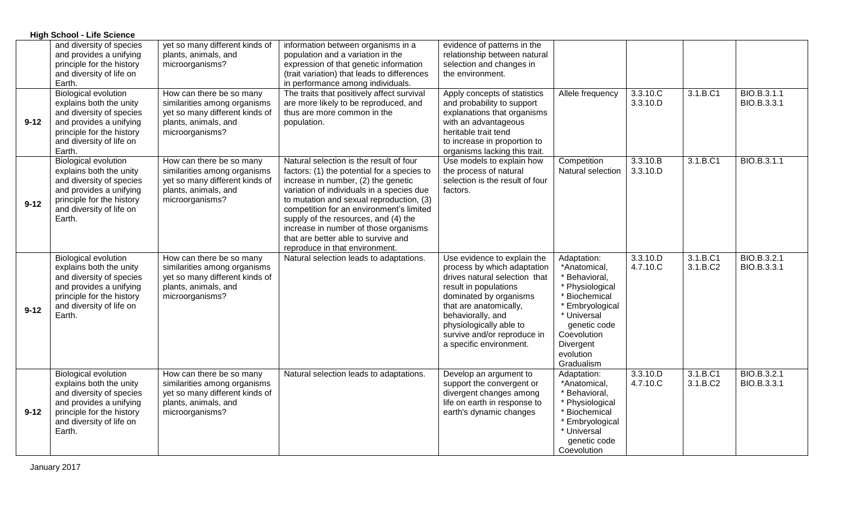|          | <b>High School - Life Science</b>                                                                                                                                                |                                                                                                                                       |                                                                                                                                                                                                                                                                                                                                                                                                                              |                                                                                                                                                                                                                                                                                    |                                                                                                                                                                                           |                      |                      |                            |
|----------|----------------------------------------------------------------------------------------------------------------------------------------------------------------------------------|---------------------------------------------------------------------------------------------------------------------------------------|------------------------------------------------------------------------------------------------------------------------------------------------------------------------------------------------------------------------------------------------------------------------------------------------------------------------------------------------------------------------------------------------------------------------------|------------------------------------------------------------------------------------------------------------------------------------------------------------------------------------------------------------------------------------------------------------------------------------|-------------------------------------------------------------------------------------------------------------------------------------------------------------------------------------------|----------------------|----------------------|----------------------------|
|          | and diversity of species<br>and provides a unifying<br>principle for the history<br>and diversity of life on<br>Earth.                                                           | yet so many different kinds of<br>plants, animals, and<br>microorganisms?                                                             | information between organisms in a<br>population and a variation in the<br>expression of that genetic information<br>(trait variation) that leads to differences<br>in performance among individuals.                                                                                                                                                                                                                        | evidence of patterns in the<br>relationship between natural<br>selection and changes in<br>the environment.                                                                                                                                                                        |                                                                                                                                                                                           |                      |                      |                            |
| $9 - 12$ | <b>Biological evolution</b><br>explains both the unity<br>and diversity of species<br>and provides a unifying<br>principle for the history<br>and diversity of life on<br>Earth. | How can there be so many<br>similarities among organisms<br>yet so many different kinds of<br>plants, animals, and<br>microorganisms? | The traits that positively affect survival<br>are more likely to be reproduced, and<br>thus are more common in the<br>population.                                                                                                                                                                                                                                                                                            | Apply concepts of statistics<br>and probability to support<br>explanations that organisms<br>with an advantageous<br>heritable trait tend<br>to increase in proportion to<br>organisms lacking this trait.                                                                         | Allele frequency                                                                                                                                                                          | 3.3.10.C<br>3.3.10.D | 3.1.B.C1             | BIO.B.3.1.1<br>BIO.B.3.3.1 |
| $9 - 12$ | <b>Biological evolution</b><br>explains both the unity<br>and diversity of species<br>and provides a unifying<br>principle for the history<br>and diversity of life on<br>Earth. | How can there be so many<br>similarities among organisms<br>yet so many different kinds of<br>plants, animals, and<br>microorganisms? | Natural selection is the result of four<br>factors: (1) the potential for a species to<br>increase in number, (2) the genetic<br>variation of individuals in a species due<br>to mutation and sexual reproduction, (3)<br>competition for an environment's limited<br>supply of the resources, and (4) the<br>increase in number of those organisms<br>that are better able to survive and<br>reproduce in that environment. | Use models to explain how<br>the process of natural<br>selection is the result of four<br>factors.                                                                                                                                                                                 | Competition<br>Natural selection                                                                                                                                                          | 3.3.10.B<br>3.3.10.D | 3.1.B.C1             | BIO.B.3.1.1                |
| $9 - 12$ | <b>Biological evolution</b><br>explains both the unity<br>and diversity of species<br>and provides a unifying<br>principle for the history<br>and diversity of life on<br>Earth. | How can there be so many<br>similarities among organisms<br>yet so many different kinds of<br>plants, animals, and<br>microorganisms? | Natural selection leads to adaptations.                                                                                                                                                                                                                                                                                                                                                                                      | Use evidence to explain the<br>process by which adaptation<br>drives natural selection that<br>result in populations<br>dominated by organisms<br>that are anatomically,<br>behaviorally, and<br>physiologically able to<br>survive and/or reproduce in<br>a specific environment. | Adaptation:<br>*Anatomical,<br>* Behavioral,<br>* Physiological<br>* Biochemical<br>* Embryological<br>* Universal<br>genetic code<br>Coevolution<br>Divergent<br>evolution<br>Gradualism | 3.3.10.D<br>4.7.10.C | 3.1.B.C1<br>3.1.B.C2 | BIO.B.3.2.1<br>BIO.B.3.3.1 |
| $9 - 12$ | <b>Biological evolution</b><br>explains both the unity<br>and diversity of species<br>and provides a unifying<br>principle for the history<br>and diversity of life on<br>Earth. | How can there be so many<br>similarities among organisms<br>yet so many different kinds of<br>plants, animals, and<br>microorganisms? | Natural selection leads to adaptations.                                                                                                                                                                                                                                                                                                                                                                                      | Develop an argument to<br>support the convergent or<br>divergent changes among<br>life on earth in response to<br>earth's dynamic changes                                                                                                                                          | Adaptation:<br>*Anatomical,<br>* Behavioral,<br>* Physiological<br>* Biochemical<br>* Embryological<br>* Universal<br>genetic code<br>Coevolution                                         | 3.3.10.D<br>4.7.10.C | 3.1.B.C1<br>3.1.B.C2 | BIO.B.3.2.1<br>BIO.B.3.3.1 |